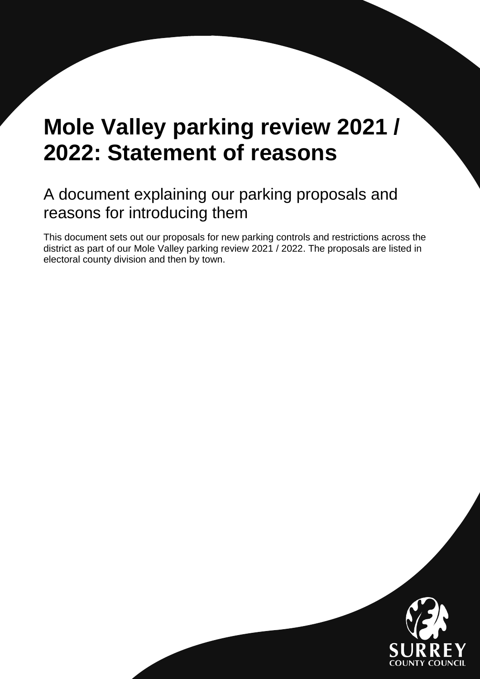# **Mole Valley parking review 2021 / 2022: Statement of reasons**

# A document explaining our parking proposals and reasons for introducing them

This document sets out our proposals for new parking controls and restrictions across the district as part of our Mole Valley parking review 2021 / 2022. The proposals are listed in electoral county division and then by town.

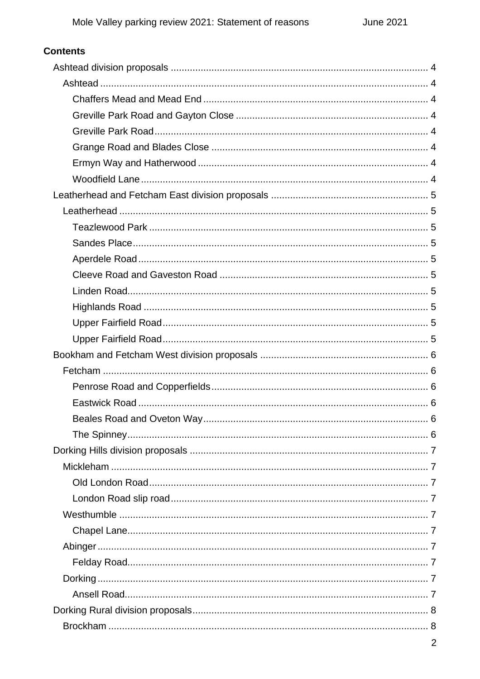| <b>Contents</b> |   |
|-----------------|---|
|                 |   |
|                 |   |
|                 |   |
|                 |   |
|                 |   |
|                 |   |
|                 |   |
|                 |   |
|                 |   |
|                 |   |
|                 |   |
|                 |   |
|                 |   |
|                 |   |
|                 |   |
|                 |   |
|                 |   |
|                 |   |
|                 |   |
|                 |   |
|                 |   |
|                 |   |
|                 |   |
|                 |   |
|                 |   |
|                 |   |
|                 |   |
|                 |   |
|                 |   |
|                 |   |
|                 |   |
|                 |   |
|                 |   |
|                 |   |
|                 |   |
|                 |   |
|                 | 2 |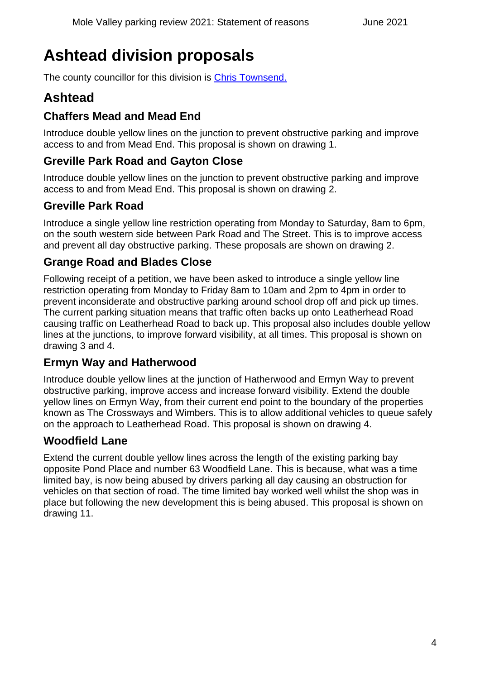# <span id="page-3-0"></span>**Ashtead division proposals**

The county councillor for this division is [Chris Townsend.](https://mycouncil.surreycc.gov.uk/mgUserInfo.aspx?UID=189)

### <span id="page-3-1"></span>**Ashtead**

### <span id="page-3-2"></span>**Chaffers Mead and Mead End**

Introduce double yellow lines on the junction to prevent obstructive parking and improve access to and from Mead End. This proposal is shown on drawing 1.

#### <span id="page-3-3"></span>**Greville Park Road and Gayton Close**

Introduce double yellow lines on the junction to prevent obstructive parking and improve access to and from Mead End. This proposal is shown on drawing 2.

#### <span id="page-3-4"></span>**Greville Park Road**

Introduce a single yellow line restriction operating from Monday to Saturday, 8am to 6pm, on the south western side between Park Road and The Street. This is to improve access and prevent all day obstructive parking. These proposals are shown on drawing 2.

#### <span id="page-3-5"></span>**Grange Road and Blades Close**

Following receipt of a petition, we have been asked to introduce a single yellow line restriction operating from Monday to Friday 8am to 10am and 2pm to 4pm in order to prevent inconsiderate and obstructive parking around school drop off and pick up times. The current parking situation means that traffic often backs up onto Leatherhead Road causing traffic on Leatherhead Road to back up. This proposal also includes double yellow lines at the junctions, to improve forward visibility, at all times. This proposal is shown on drawing 3 and 4.

### <span id="page-3-6"></span>**Ermyn Way and Hatherwood**

Introduce double yellow lines at the junction of Hatherwood and Ermyn Way to prevent obstructive parking, improve access and increase forward visibility. Extend the double yellow lines on Ermyn Way, from their current end point to the boundary of the properties known as The Crossways and Wimbers. This is to allow additional vehicles to queue safely on the approach to Leatherhead Road. This proposal is shown on drawing 4.

#### <span id="page-3-7"></span>**Woodfield Lane**

Extend the current double yellow lines across the length of the existing parking bay opposite Pond Place and number 63 Woodfield Lane. This is because, what was a time limited bay, is now being abused by drivers parking all day causing an obstruction for vehicles on that section of road. The time limited bay worked well whilst the shop was in place but following the new development this is being abused. This proposal is shown on drawing 11.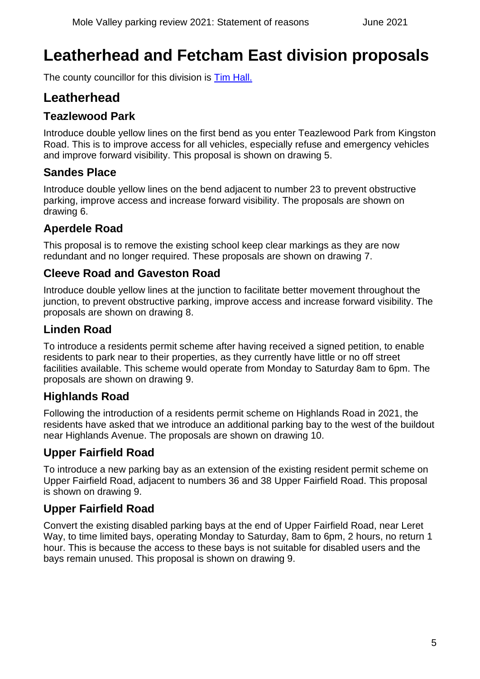# <span id="page-4-0"></span>**Leatherhead and Fetcham East division proposals**

The county councillor for this division is [Tim Hall.](https://mycouncil.surreycc.gov.uk/mgUserInfo.aspx?UID=150)

### <span id="page-4-1"></span>**Leatherhead**

### <span id="page-4-2"></span>**Teazlewood Park**

Introduce double yellow lines on the first bend as you enter Teazlewood Park from Kingston Road. This is to improve access for all vehicles, especially refuse and emergency vehicles and improve forward visibility. This proposal is shown on drawing 5.

#### <span id="page-4-3"></span>**Sandes Place**

Introduce double yellow lines on the bend adjacent to number 23 to prevent obstructive parking, improve access and increase forward visibility. The proposals are shown on drawing 6.

### <span id="page-4-4"></span>**Aperdele Road**

This proposal is to remove the existing school keep clear markings as they are now redundant and no longer required. These proposals are shown on drawing 7.

#### <span id="page-4-5"></span>**Cleeve Road and Gaveston Road**

Introduce double yellow lines at the junction to facilitate better movement throughout the junction, to prevent obstructive parking, improve access and increase forward visibility. The proposals are shown on drawing 8.

### <span id="page-4-6"></span>**Linden Road**

To introduce a residents permit scheme after having received a signed petition, to enable residents to park near to their properties, as they currently have little or no off street facilities available. This scheme would operate from Monday to Saturday 8am to 6pm. The proposals are shown on drawing 9.

### <span id="page-4-7"></span>**Highlands Road**

Following the introduction of a residents permit scheme on Highlands Road in 2021, the residents have asked that we introduce an additional parking bay to the west of the buildout near Highlands Avenue. The proposals are shown on drawing 10.

### <span id="page-4-8"></span>**Upper Fairfield Road**

To introduce a new parking bay as an extension of the existing resident permit scheme on Upper Fairfield Road, adjacent to numbers 36 and 38 Upper Fairfield Road. This proposal is shown on drawing 9.

### <span id="page-4-9"></span>**Upper Fairfield Road**

Convert the existing disabled parking bays at the end of Upper Fairfield Road, near Leret Way, to time limited bays, operating Monday to Saturday, 8am to 6pm, 2 hours, no return 1 hour. This is because the access to these bays is not suitable for disabled users and the bays remain unused. This proposal is shown on drawing 9.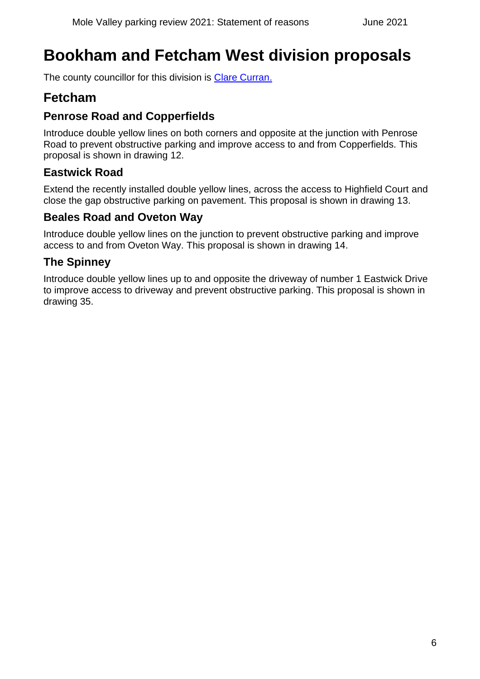# <span id="page-5-0"></span>**Bookham and Fetcham West division proposals**

The county councillor for this division is [Clare Curran.](https://mycouncil.surreycc.gov.uk/mgUserInfo.aspx?UID=135)

### <span id="page-5-1"></span>**Fetcham**

### <span id="page-5-2"></span>**Penrose Road and Copperfields**

Introduce double yellow lines on both corners and opposite at the junction with Penrose Road to prevent obstructive parking and improve access to and from Copperfields. This proposal is shown in drawing 12.

### <span id="page-5-3"></span>**Eastwick Road**

Extend the recently installed double yellow lines, across the access to Highfield Court and close the gap obstructive parking on pavement. This proposal is shown in drawing 13.

### <span id="page-5-4"></span>**Beales Road and Oveton Way**

Introduce double yellow lines on the junction to prevent obstructive parking and improve access to and from Oveton Way. This proposal is shown in drawing 14.

### <span id="page-5-5"></span>**The Spinney**

Introduce double yellow lines up to and opposite the driveway of number 1 Eastwick Drive to improve access to driveway and prevent obstructive parking. This proposal is shown in drawing 35.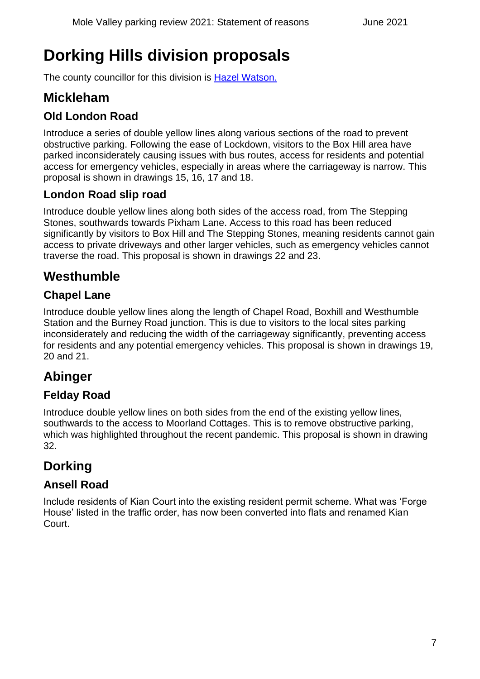# <span id="page-6-0"></span>**Dorking Hills division proposals**

The county councillor for this division is [Hazel Watson.](https://mycouncil.surreycc.gov.uk/mgUserInfo.aspx?UID=192)

### <span id="page-6-1"></span>**Mickleham**

### <span id="page-6-2"></span>**Old London Road**

Introduce a series of double yellow lines along various sections of the road to prevent obstructive parking. Following the ease of Lockdown, visitors to the Box Hill area have parked inconsiderately causing issues with bus routes, access for residents and potential access for emergency vehicles, especially in areas where the carriageway is narrow. This proposal is shown in drawings 15, 16, 17 and 18.

#### <span id="page-6-3"></span>**London Road slip road**

Introduce double yellow lines along both sides of the access road, from The Stepping Stones, southwards towards Pixham Lane. Access to this road has been reduced significantly by visitors to Box Hill and The Stepping Stones, meaning residents cannot gain access to private driveways and other larger vehicles, such as emergency vehicles cannot traverse the road. This proposal is shown in drawings 22 and 23.

### <span id="page-6-4"></span>**Westhumble**

### <span id="page-6-5"></span>**Chapel Lane**

Introduce double yellow lines along the length of Chapel Road, Boxhill and Westhumble Station and the Burney Road junction. This is due to visitors to the local sites parking inconsiderately and reducing the width of the carriageway significantly, preventing access for residents and any potential emergency vehicles. This proposal is shown in drawings 19, 20 and 21.

### <span id="page-6-6"></span>**Abinger**

### <span id="page-6-7"></span>**Felday Road**

Introduce double yellow lines on both sides from the end of the existing yellow lines, southwards to the access to Moorland Cottages. This is to remove obstructive parking, which was highlighted throughout the recent pandemic. This proposal is shown in drawing 32.

### <span id="page-6-8"></span>**Dorking**

### <span id="page-6-9"></span>**Ansell Road**

Include residents of Kian Court into the existing resident permit scheme. What was 'Forge House' listed in the traffic order, has now been converted into flats and renamed Kian Court.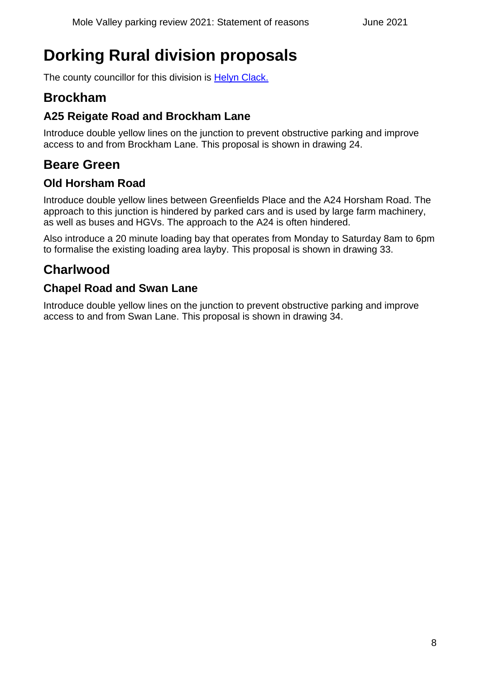# <span id="page-7-0"></span>**Dorking Rural division proposals**

The county councillor for this division is [Helyn Clack.](https://mycouncil.surreycc.gov.uk/mgUserInfo.aspx?UID=130)

### <span id="page-7-1"></span>**Brockham**

### <span id="page-7-2"></span>**A25 Reigate Road and Brockham Lane**

Introduce double yellow lines on the junction to prevent obstructive parking and improve access to and from Brockham Lane. This proposal is shown in drawing 24.

### <span id="page-7-3"></span>**Beare Green**

#### <span id="page-7-4"></span>**Old Horsham Road**

Introduce double yellow lines between Greenfields Place and the A24 Horsham Road. The approach to this junction is hindered by parked cars and is used by large farm machinery, as well as buses and HGVs. The approach to the A24 is often hindered.

Also introduce a 20 minute loading bay that operates from Monday to Saturday 8am to 6pm to formalise the existing loading area layby. This proposal is shown in drawing 33.

### <span id="page-7-5"></span>**Charlwood**

### <span id="page-7-6"></span>**Chapel Road and Swan Lane**

Introduce double yellow lines on the junction to prevent obstructive parking and improve access to and from Swan Lane. This proposal is shown in drawing 34.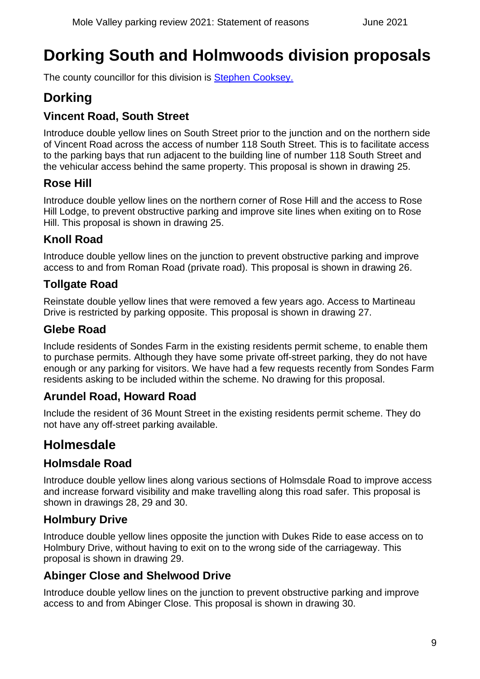# <span id="page-8-0"></span>**Dorking South and Holmwoods division proposals**

The county councillor for this division is [Stephen Cooksey.](https://mycouncil.surreycc.gov.uk/mgUserInfo.aspx?UID=132)

### <span id="page-8-1"></span>**Dorking**

### <span id="page-8-2"></span>**Vincent Road, South Street**

Introduce double yellow lines on South Street prior to the junction and on the northern side of Vincent Road across the access of number 118 South Street. This is to facilitate access to the parking bays that run adjacent to the building line of number 118 South Street and the vehicular access behind the same property. This proposal is shown in drawing 25.

### <span id="page-8-3"></span>**Rose Hill**

Introduce double yellow lines on the northern corner of Rose Hill and the access to Rose Hill Lodge, to prevent obstructive parking and improve site lines when exiting on to Rose Hill. This proposal is shown in drawing 25.

### <span id="page-8-4"></span>**Knoll Road**

Introduce double yellow lines on the junction to prevent obstructive parking and improve access to and from Roman Road (private road). This proposal is shown in drawing 26.

#### <span id="page-8-5"></span>**Tollgate Road**

Reinstate double yellow lines that were removed a few years ago. Access to Martineau Drive is restricted by parking opposite. This proposal is shown in drawing 27.

#### <span id="page-8-6"></span>**Glebe Road**

Include residents of Sondes Farm in the existing residents permit scheme, to enable them to purchase permits. Although they have some private off-street parking, they do not have enough or any parking for visitors. We have had a few requests recently from Sondes Farm residents asking to be included within the scheme. No drawing for this proposal.

### <span id="page-8-7"></span>**Arundel Road, Howard Road**

Include the resident of 36 Mount Street in the existing residents permit scheme. They do not have any off-street parking available.

### <span id="page-8-8"></span>**Holmesdale**

### <span id="page-8-9"></span>**Holmsdale Road**

Introduce double yellow lines along various sections of Holmsdale Road to improve access and increase forward visibility and make travelling along this road safer. This proposal is shown in drawings 28, 29 and 30.

#### <span id="page-8-10"></span>**Holmbury Drive**

Introduce double yellow lines opposite the junction with Dukes Ride to ease access on to Holmbury Drive, without having to exit on to the wrong side of the carriageway. This proposal is shown in drawing 29.

### <span id="page-8-11"></span>**Abinger Close and Shelwood Drive**

Introduce double yellow lines on the junction to prevent obstructive parking and improve access to and from Abinger Close. This proposal is shown in drawing 30.